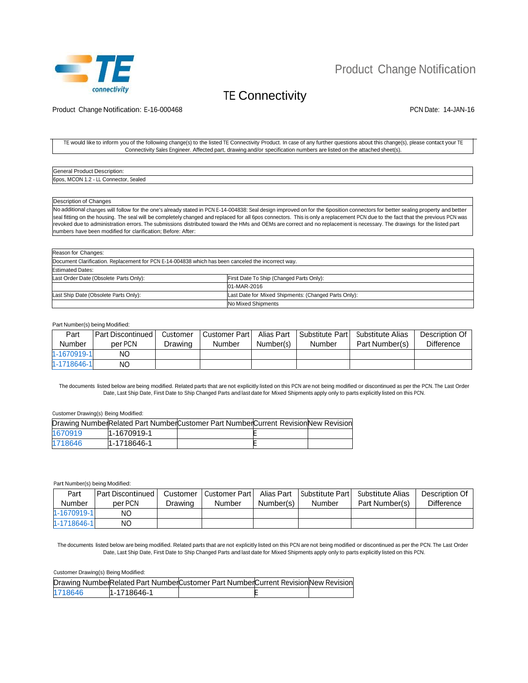

# Product Change Notification

## TE Connectivity

Product Change Notification: E-16-000468 **PCN Date: 14-JAN-16** PCN Date: 14-JAN-16

#### TE would like to inform you of the following change(s) to the listed TE Connectivity Product. In case of any further questions about this change(s), please contact your TE Connectivity Sales Engineer. Affected part, drawing and/or specification numbers are listed on the attached sheet(s).

| General Product Description:                    |  |
|-------------------------------------------------|--|
| 6pos, MCON<br>Sealed<br>Connector<br>- -<br>. . |  |

#### Description of Changes

No additional changes will follow for the one's already stated in PCN E-14-004838: Seal design improved on for the 6position connectors for better sealing property and better seal fitting on the housing. The seal will be completely changed and replaced for all 6pos connectors. This is only a replacement PCN due to the fact that the previous PCN was revoked due to administration errors. The submissions distributed toward the HMs and OEMs are correct and no replacement is necessary. The drawings for the listed part numbers have been modified for clarification; Before: After:

| Reason for Changes:                                                                                |                                                      |
|----------------------------------------------------------------------------------------------------|------------------------------------------------------|
| Document Clarification. Replacement for PCN E-14-004838 which has been canceled the incorrect way. |                                                      |
| <b>Estimated Dates:</b>                                                                            |                                                      |
| Last Order Date (Obsolete Parts Only):                                                             | First Date To Ship (Changed Parts Only):             |
|                                                                                                    | 01-MAR-2016                                          |
| Last Ship Date (Obsolete Parts Only):                                                              | Last Date for Mixed Shipments: (Changed Parts Only): |
|                                                                                                    | No Mixed Shipments                                   |

#### Part Number(s) being Modified:

| Part        | l Part Discontinued | Customer | Customer Part | Alias Part | Substitute Part | Substitute Alias | Description Of    |
|-------------|---------------------|----------|---------------|------------|-----------------|------------------|-------------------|
| Number      | per PCN             | Drawing  | Number        | Number(s)  | Number          | Part Number(s)   | <b>Difference</b> |
| 1-1670919-1 | ΝO                  |          |               |            |                 |                  |                   |
| 1-1718646-1 | ΝO                  |          |               |            |                 |                  |                   |

The documents listed below are being modified. Related parts that are not explicitly listed on this PCN are not being modified or discontinued as per the PCN. The Last Order Date, Last Ship Date, First Date to Ship Changed Parts and last date for Mixed Shipments apply only to parts explicitly listed on this PCN.

### Customer Drawing(s) Being Modified:

|         |             | Drawing NumberRelated Part NumberCustomer Part NumberCurrent RevisionNew Revision |  |
|---------|-------------|-----------------------------------------------------------------------------------|--|
| 1670919 | 1-1670919-1 |                                                                                   |  |
| 1718646 | 1-1718646-1 |                                                                                   |  |

Part Number(s) being Modified:

| Part        | l Part Discontinued | Customer | Customer Part | Alias Part | Substitute Part | Substitute Alias | Description Of    |
|-------------|---------------------|----------|---------------|------------|-----------------|------------------|-------------------|
| Number      | per PCN             | Drawing  | Number        | Number(s)  | Number          | Part Number(s)   | <b>Difference</b> |
| 1-1670919-1 | ΝO                  |          |               |            |                 |                  |                   |
| 1-1718646-1 | ΝO                  |          |               |            |                 |                  |                   |

The documents listed below are being modified. Related parts that are not explicitly listed on this PCN are not being modified or discontinued as per the PCN. The Last Order Date, Last Ship Date, First Date to Ship Changed Parts and last date for Mixed Shipments apply only to parts explicitly listed on this PCN.

### Customer Drawing(s) Being Modified:

|         |             | Drawing NumberRelated Part NumberCustomer Part NumberCurrent RevisionNew Revision |  |
|---------|-------------|-----------------------------------------------------------------------------------|--|
| 1718646 | 1-1718646-1 |                                                                                   |  |